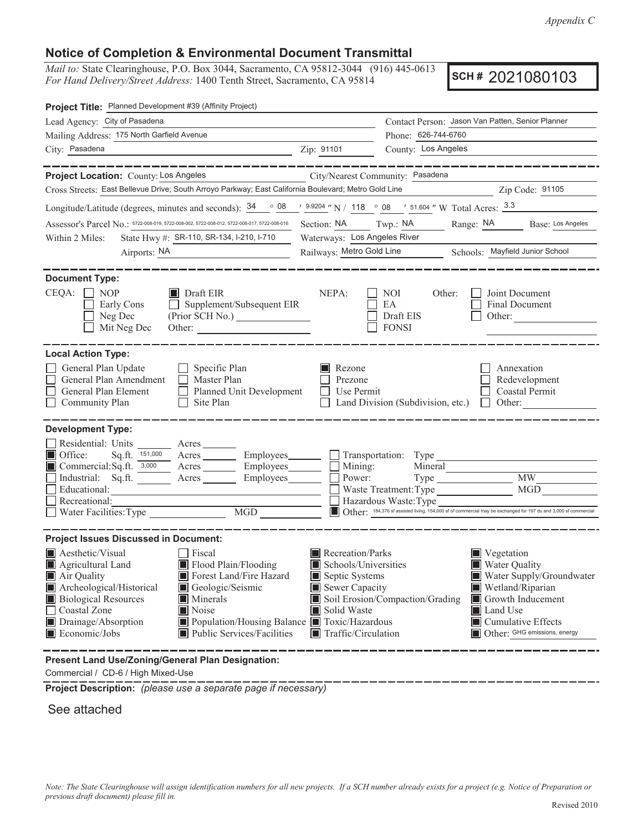*Appendix C*

## **Notice of Completion & Environmental Document Transmittal**

*Mail to:* State Clearinghouse, P.O. Box 3044, Sacramento, CA 95812-3044 (916) 445-0613 *For Hand Delivery/Street Address:* 1400 Tenth Street, Sacramento, CA 95814

**SCH #** 2021080103

| Project Title: Planned Development #39 (Affinity Project)                                                                                                                  |                                                                                                         |                                                  |                                                                                                                 |  |
|----------------------------------------------------------------------------------------------------------------------------------------------------------------------------|---------------------------------------------------------------------------------------------------------|--------------------------------------------------|-----------------------------------------------------------------------------------------------------------------|--|
| Lead Agency: City of Pasadena                                                                                                                                              |                                                                                                         | Contact Person: Jason Van Patten, Senior Planner |                                                                                                                 |  |
| Mailing Address: 175 North Garfield Avenue                                                                                                                                 |                                                                                                         | Phone: 626-744-6760                              |                                                                                                                 |  |
| City: Pasadena<br><u> 1989 - Johann Barn, fransk politik (</u>                                                                                                             | Zip: 91101                                                                                              | County: Los Angeles                              |                                                                                                                 |  |
| _________                                                                                                                                                                  |                                                                                                         |                                                  |                                                                                                                 |  |
| Project Location: County: Los Angeles                                                                                                                                      | City/Nearest Community: Pasadena                                                                        |                                                  |                                                                                                                 |  |
| Cross Streets: East Bellevue Drive; South Arroyo Parkway; East California Boulevard; Metro Gold Line                                                                       |                                                                                                         |                                                  | Zip Code: 91105                                                                                                 |  |
| Longitude/Latitude (degrees, minutes and seconds): $\frac{34}{9}$ $\frac{08}{9}$ $\frac{9.9204}{9}$ N / 118 $\degree$ 08 $\degree$ 51.604 " W Total Acres: $\frac{3.3}{9}$ |                                                                                                         |                                                  |                                                                                                                 |  |
| Assessor's Parcel No.: 5722-008-019, 5722-008-002, 5722-008-012, 5722-008-017, 5722-008-016                                                                                | Section: NA Twp.: NA                                                                                    |                                                  | Range: NA Base: Los Angeles                                                                                     |  |
| State Hwy #: SR-110, SR-134, I-210, I-710<br>Within 2 Miles:                                                                                                               | Waterways: Los Angeles River                                                                            |                                                  |                                                                                                                 |  |
| Airports: NA<br><u> 1980 - John Stein, mars and de Brandenburg (b. 1980)</u>                                                                                               | Railways: Metro Gold Line<br>Schools: Mayfield Junior School                                            |                                                  |                                                                                                                 |  |
|                                                                                                                                                                            |                                                                                                         |                                                  |                                                                                                                 |  |
| <b>Document Type:</b>                                                                                                                                                      |                                                                                                         |                                                  |                                                                                                                 |  |
| $CEQA: \Box$<br>$\blacksquare$ Draft EIR<br>NOP                                                                                                                            | NEPA:                                                                                                   | NOI.<br>Other:                                   | Joint Document                                                                                                  |  |
| $\Box$ Supplement/Subsequent EIR<br>Early Cons                                                                                                                             |                                                                                                         | EA                                               | Final Document                                                                                                  |  |
| Neg Dec                                                                                                                                                                    |                                                                                                         | Draft EIS                                        | Other:                                                                                                          |  |
| Mit Neg Dec                                                                                                                                                                |                                                                                                         | <b>FONSI</b>                                     |                                                                                                                 |  |
| <b>Local Action Type:</b>                                                                                                                                                  |                                                                                                         |                                                  |                                                                                                                 |  |
|                                                                                                                                                                            |                                                                                                         |                                                  |                                                                                                                 |  |
| General Plan Update<br>$\Box$ Specific Plan<br>General Plan Amendment<br>$\Box$ Master Plan                                                                                | Rezone<br>Prezone                                                                                       |                                                  | Annexation<br>Redevelopment                                                                                     |  |
| Planned Unit Development<br>General Plan Element                                                                                                                           | Use Permit                                                                                              |                                                  | <b>Coastal Permit</b>                                                                                           |  |
| Community Plan<br>Site Plan<br>$\Box$                                                                                                                                      |                                                                                                         | Land Division (Subdivision, etc.)                | $\Box$<br>Other:                                                                                                |  |
|                                                                                                                                                                            |                                                                                                         |                                                  |                                                                                                                 |  |
| <b>Development Type:</b>                                                                                                                                                   |                                                                                                         |                                                  |                                                                                                                 |  |
| Residential: Units ________ Acres _______                                                                                                                                  |                                                                                                         |                                                  |                                                                                                                 |  |
| Office:<br>Acres Employees<br>Sq.ft. $151,000$                                                                                                                             |                                                                                                         |                                                  |                                                                                                                 |  |
| Commercial:Sq.ft. 3,000 Acres Employees                                                                                                                                    | Mining:                                                                                                 | Mineral                                          |                                                                                                                 |  |
| Industrial: Sq.ft.<br>Employees_______<br>Acres<br>Educational:                                                                                                            | Power:                                                                                                  |                                                  | <b>MW</b><br>MGD                                                                                                |  |
| Recreational:                                                                                                                                                              |                                                                                                         | Waste Treatment: Type<br>Hazardous Waste: Type   |                                                                                                                 |  |
| Water Facilities: Type<br>$\overline{MGD}$                                                                                                                                 |                                                                                                         |                                                  | Other: 184,376 sf assisted living; 154,000 sf of commercial may be exchanged for 197 du and 3,000 sf commercial |  |
|                                                                                                                                                                            |                                                                                                         |                                                  |                                                                                                                 |  |
| <b>Project Issues Discussed in Document:</b>                                                                                                                               |                                                                                                         |                                                  |                                                                                                                 |  |
| Aesthetic/Visual<br>Fiscal                                                                                                                                                 | Recreation/Parks                                                                                        |                                                  | $\blacksquare$ Vegetation                                                                                       |  |
| Flood Plain/Flooding<br>Agricultural Land                                                                                                                                  | Schools/Universities<br><b>Water Quality</b>                                                            |                                                  |                                                                                                                 |  |
| $\blacksquare$ Air Quality<br>Forest Land/Fire Hazard                                                                                                                      | Septic Systems<br>Water Supply/Groundwater                                                              |                                                  |                                                                                                                 |  |
| Archeological/Historical<br>Geologic/Seismic                                                                                                                               | Sewer Capacity<br>$\blacksquare$ Wetland/Riparian                                                       |                                                  |                                                                                                                 |  |
| <b>Biological Resources</b><br><b>Minerals</b>                                                                                                                             | Soil Erosion/Compaction/Grading<br>Growth Inducement                                                    |                                                  |                                                                                                                 |  |
| Noise<br>Coastal Zone                                                                                                                                                      |                                                                                                         | Solid Waste<br><b>Land Use</b>                   |                                                                                                                 |  |
| Drainage/Absorption<br>■ Population/Housing Balance ■ Toxic/Hazardous<br>Economic/Jobs<br>Public Services/Facilities                                                       | $\blacksquare$ Cumulative Effects<br>Other: GHG emissions, energy<br>$\blacksquare$ Traffic/Circulation |                                                  |                                                                                                                 |  |
|                                                                                                                                                                            |                                                                                                         |                                                  |                                                                                                                 |  |
| Present Land Use/Zoning/General Plan Designation:                                                                                                                          |                                                                                                         |                                                  |                                                                                                                 |  |

Commercial / CD-6 / High Mixed-Use

**Project Description:** *(please use a separate page if necessary)*

See attached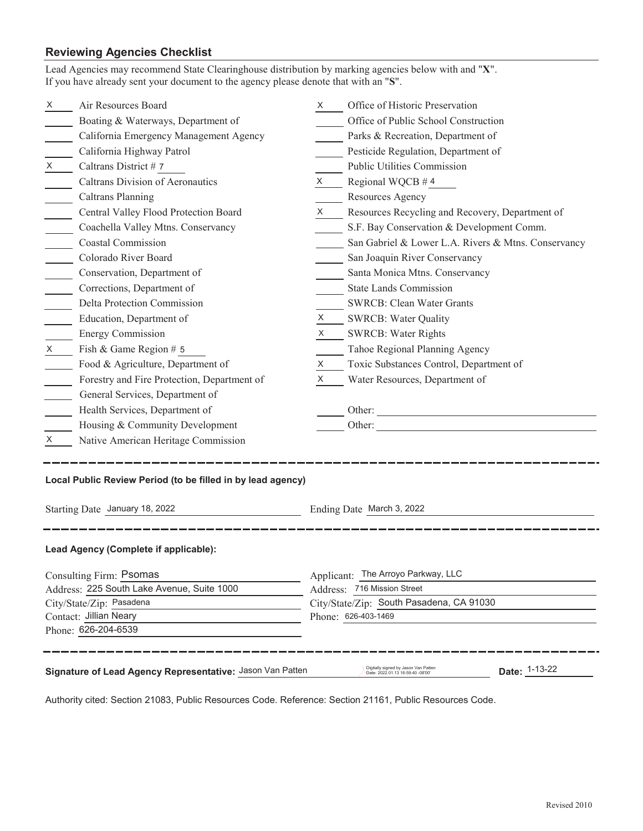## **Reviewing Agencies Checklist**

| Lead Agencies may recommend State Clearinghouse distribution by marking agencies below with and "X".<br>If you have already sent your document to the agency please denote that with an "S". |                                                               |                                          |                                                     |  |  |
|----------------------------------------------------------------------------------------------------------------------------------------------------------------------------------------------|---------------------------------------------------------------|------------------------------------------|-----------------------------------------------------|--|--|
| X.                                                                                                                                                                                           | Air Resources Board                                           | X <sub>1</sub>                           | Office of Historic Preservation                     |  |  |
|                                                                                                                                                                                              | Boating & Waterways, Department of                            |                                          | Office of Public School Construction                |  |  |
|                                                                                                                                                                                              | California Emergency Management Agency                        |                                          | Parks & Recreation, Department of                   |  |  |
|                                                                                                                                                                                              | California Highway Patrol                                     |                                          | Pesticide Regulation, Department of                 |  |  |
| X                                                                                                                                                                                            | Caltrans District #7                                          |                                          | <b>Public Utilities Commission</b>                  |  |  |
|                                                                                                                                                                                              | Caltrans Division of Aeronautics                              |                                          | $X \qquad$ Regional WQCB #4                         |  |  |
|                                                                                                                                                                                              | Caltrans Planning                                             |                                          | Resources Agency                                    |  |  |
|                                                                                                                                                                                              | Central Valley Flood Protection Board                         | $X \sim$                                 | Resources Recycling and Recovery, Department of     |  |  |
|                                                                                                                                                                                              | Coachella Valley Mtns. Conservancy                            |                                          | S.F. Bay Conservation & Development Comm.           |  |  |
|                                                                                                                                                                                              | <b>Coastal Commission</b>                                     |                                          | San Gabriel & Lower L.A. Rivers & Mtns. Conservancy |  |  |
|                                                                                                                                                                                              | Colorado River Board                                          |                                          | San Joaquin River Conservancy                       |  |  |
|                                                                                                                                                                                              | Conservation, Department of                                   |                                          | Santa Monica Mtns. Conservancy                      |  |  |
|                                                                                                                                                                                              | Corrections, Department of                                    |                                          | <b>State Lands Commission</b>                       |  |  |
|                                                                                                                                                                                              | Delta Protection Commission                                   |                                          | <b>SWRCB: Clean Water Grants</b>                    |  |  |
|                                                                                                                                                                                              | Education, Department of                                      |                                          | X SWRCB: Water Quality                              |  |  |
|                                                                                                                                                                                              | <b>Energy Commission</b>                                      | $X \sim$                                 | <b>SWRCB: Water Rights</b>                          |  |  |
| $X \sim$                                                                                                                                                                                     | Fish & Game Region # 5                                        |                                          | Tahoe Regional Planning Agency                      |  |  |
|                                                                                                                                                                                              | Food & Agriculture, Department of                             | X —                                      | Toxic Substances Control, Department of             |  |  |
|                                                                                                                                                                                              | Forestry and Fire Protection, Department of                   | X —                                      | Water Resources, Department of                      |  |  |
|                                                                                                                                                                                              | General Services, Department of                               |                                          |                                                     |  |  |
|                                                                                                                                                                                              | Health Services, Department of                                |                                          | Other:                                              |  |  |
|                                                                                                                                                                                              | Housing & Community Development                               |                                          | Other:                                              |  |  |
| X.                                                                                                                                                                                           | Native American Heritage Commission                           |                                          |                                                     |  |  |
| Local Public Review Period (to be filled in by lead agency)<br>Starting Date January 18, 2022<br>Ending Date March 3, 2022                                                                   |                                                               |                                          |                                                     |  |  |
| Lead Agency (Complete if applicable):                                                                                                                                                        |                                                               |                                          |                                                     |  |  |
|                                                                                                                                                                                              | Consulting Firm: Psomas<br>Applicant: The Arroyo Parkway, LLC |                                          |                                                     |  |  |
|                                                                                                                                                                                              | Address: 225 South Lake Avenue, Suite 1000                    | Address: 716 Mission Street              |                                                     |  |  |
|                                                                                                                                                                                              | City/State/Zip: Pasadena                                      | City/State/Zip: South Pasadena, CA 91030 |                                                     |  |  |
|                                                                                                                                                                                              | Contact: Jillian Neary<br>Phone: 626-403-1469                 |                                          |                                                     |  |  |
| Phone: 626-204-6539                                                                                                                                                                          |                                                               |                                          |                                                     |  |  |
| Digitally signed by Jason Van Patten<br>Date: 1-13-22<br>Signature of Lead Agency Representative: Jason Van Patten<br>Date: 2022.01.13 16:59:40 -08'00'                                      |                                                               |                                          |                                                     |  |  |

Authority cited: Section 21083, Public Resources Code. Reference: Section 21161, Public Resources Code.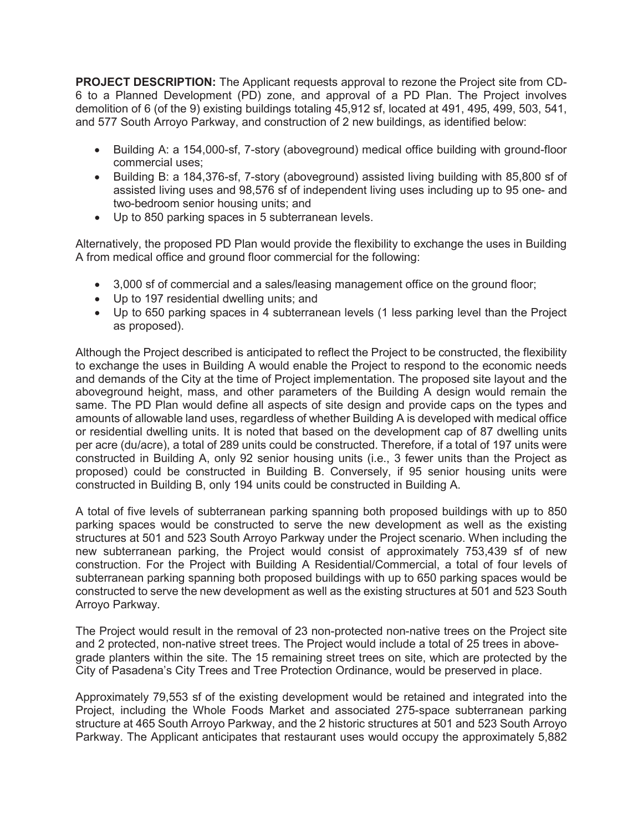**PROJECT DESCRIPTION:** The Applicant requests approval to rezone the Project site from CD-6 to a Planned Development (PD) zone, and approval of a PD Plan. The Project involves demolition of 6 (of the 9) existing buildings totaling 45,912 sf, located at 491, 495, 499, 503, 541, and 577 South Arroyo Parkway, and construction of 2 new buildings, as identified below:

- Building A: a 154,000-sf, 7-story (aboveground) medical office building with ground-floor commercial uses;
- Building B: a 184,376-sf, 7-story (aboveground) assisted living building with 85,800 sf of assisted living uses and 98,576 sf of independent living uses including up to 95 one- and two-bedroom senior housing units; and
- Up to 850 parking spaces in 5 subterranean levels.

Alternatively, the proposed PD Plan would provide the flexibility to exchange the uses in Building A from medical office and ground floor commercial for the following:

- 3,000 sf of commercial and a sales/leasing management office on the ground floor;
- Up to 197 residential dwelling units; and
- Up to 650 parking spaces in 4 subterranean levels (1 less parking level than the Project as proposed).

Although the Project described is anticipated to reflect the Project to be constructed, the flexibility to exchange the uses in Building A would enable the Project to respond to the economic needs and demands of the City at the time of Project implementation. The proposed site layout and the aboveground height, mass, and other parameters of the Building A design would remain the same. The PD Plan would define all aspects of site design and provide caps on the types and amounts of allowable land uses, regardless of whether Building A is developed with medical office or residential dwelling units. It is noted that based on the development cap of 87 dwelling units per acre (du/acre), a total of 289 units could be constructed. Therefore, if a total of 197 units were constructed in Building A, only 92 senior housing units (i.e., 3 fewer units than the Project as proposed) could be constructed in Building B. Conversely, if 95 senior housing units were constructed in Building B, only 194 units could be constructed in Building A.

A total of five levels of subterranean parking spanning both proposed buildings with up to 850 parking spaces would be constructed to serve the new development as well as the existing structures at 501 and 523 South Arroyo Parkway under the Project scenario. When including the new subterranean parking, the Project would consist of approximately 753,439 sf of new construction. For the Project with Building A Residential/Commercial, a total of four levels of subterranean parking spanning both proposed buildings with up to 650 parking spaces would be constructed to serve the new development as well as the existing structures at 501 and 523 South Arroyo Parkway.

The Project would result in the removal of 23 non-protected non-native trees on the Project site and 2 protected, non-native street trees. The Project would include a total of 25 trees in abovegrade planters within the site. The 15 remaining street trees on site, which are protected by the City of Pasadena's City Trees and Tree Protection Ordinance, would be preserved in place.

Approximately 79,553 sf of the existing development would be retained and integrated into the Project, including the Whole Foods Market and associated 275-space subterranean parking structure at 465 South Arroyo Parkway, and the 2 historic structures at 501 and 523 South Arroyo Parkway. The Applicant anticipates that restaurant uses would occupy the approximately 5,882